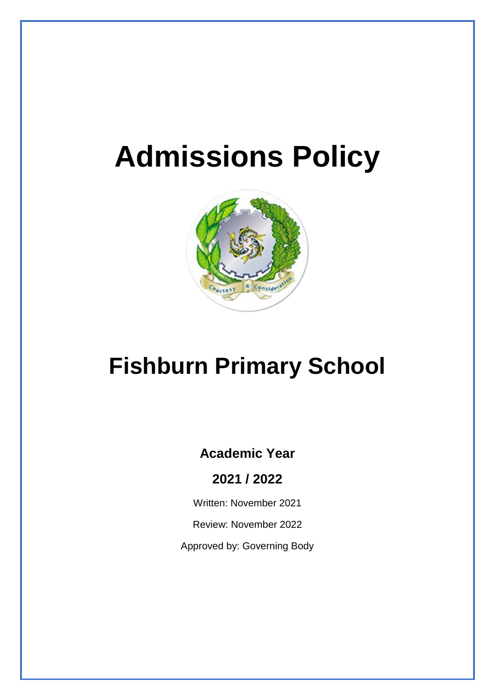# **Admissions Policy**



## **Fishburn Primary School**

## **Academic Year**

**2021 / 2022**

Written: November 2021

Review: November 2022

Approved by: Governing Body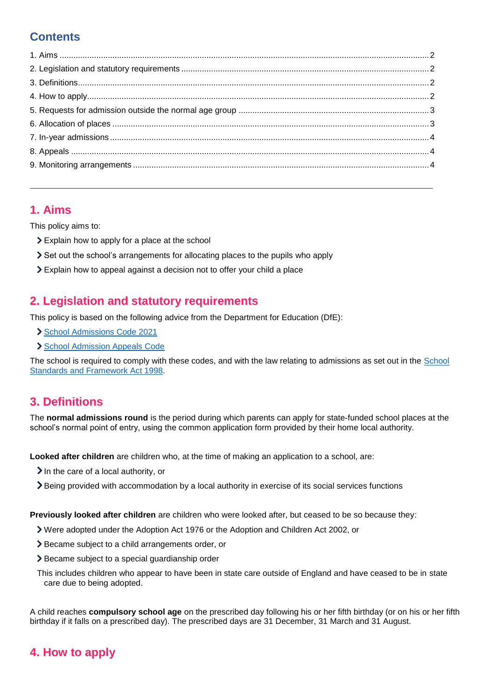## **Contents**

### <span id="page-1-0"></span>**1. Aims**

This policy aims to:

- Explain how to apply for a place at the school
- Set out the school's arrangements for allocating places to the pupils who apply
- Explain how to appeal against a decision not to offer your child a place

### <span id="page-1-1"></span>**2. Legislation and statutory requirements**

This policy is based on the following advice from the Department for Education (DfE):

- [School Admissions Code 2021](https://www.gov.uk/government/publications/school-admissions-code--2)
- > [School Admission Appeals Code](https://www.gov.uk/government/publications/school-admissions-appeals-code)

The school is required to comply with these codes, and with the law relating to admissions as set out in the [School](http://www.legislation.gov.uk/ukpga/1998/31/contents)  [Standards and Framework Act 1998.](http://www.legislation.gov.uk/ukpga/1998/31/contents)

## <span id="page-1-2"></span>**3. Definitions**

The **normal admissions round** is the period during which parents can apply for state-funded school places at the school's normal point of entry, using the common application form provided by their home local authority.

**Looked after children** are children who, at the time of making an application to a school, are:

- $\blacktriangleright$  In the care of a local authority, or
- Being provided with accommodation by a local authority in exercise of its social services functions

**Previously looked after children** are children who were looked after, but ceased to be so because they:

- Were adopted under the Adoption Act 1976 or the Adoption and Children Act 2002, or
- Became subject to a child arrangements order, or
- > Became subject to a special guardianship order
- This includes children who appear to have been in state care outside of England and have ceased to be in state care due to being adopted.

A child reaches **compulsory school age** on the prescribed day following his or her fifth birthday (or on his or her fifth birthday if it falls on a prescribed day). The prescribed days are 31 December, 31 March and 31 August.

## <span id="page-1-3"></span>**4. How to apply**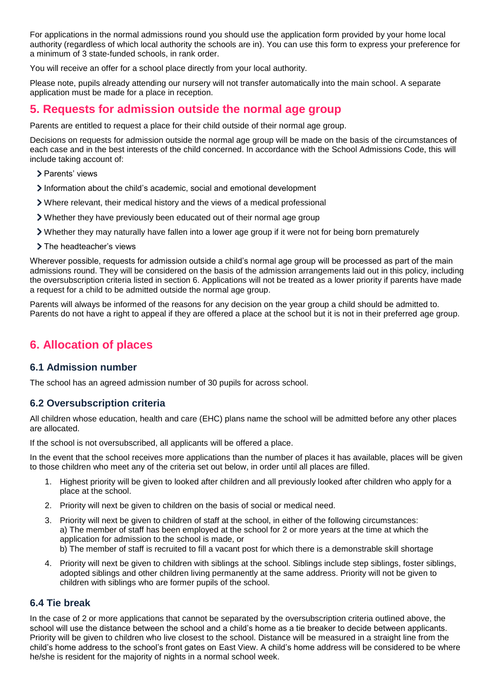For applications in the normal admissions round you should use the application form provided by your home local authority (regardless of which local authority the schools are in). You can use this form to express your preference for a minimum of 3 state-funded schools, in rank order.

You will receive an offer for a school place directly from your local authority.

Please note, pupils already attending our nursery will not transfer automatically into the main school. A separate application must be made for a place in reception.

### <span id="page-2-0"></span>**5. Requests for admission outside the normal age group**

Parents are entitled to request a place for their child outside of their normal age group.

Decisions on requests for admission outside the normal age group will be made on the basis of the circumstances of each case and in the best interests of the child concerned. In accordance with the School Admissions Code, this will include taking account of:

- > Parents' views
- Information about the child's academic, social and emotional development
- Where relevant, their medical history and the views of a medical professional
- Whether they have previously been educated out of their normal age group
- Whether they may naturally have fallen into a lower age group if it were not for being born prematurely
- > The headteacher's views

Wherever possible, requests for admission outside a child's normal age group will be processed as part of the main admissions round. They will be considered on the basis of the admission arrangements laid out in this policy, including the oversubscription criteria listed in section 6. Applications will not be treated as a lower priority if parents have made a request for a child to be admitted outside the normal age group.

Parents will always be informed of the reasons for any decision on the year group a child should be admitted to. Parents do not have a right to appeal if they are offered a place at the school but it is not in their preferred age group.

### <span id="page-2-1"></span>**6. Allocation of places**

#### **6.1 Admission number**

The school has an agreed admission number of 30 pupils for across school.

#### **6.2 Oversubscription criteria**

All children whose education, health and care (EHC) plans name the school will be admitted before any other places are allocated.

If the school is not oversubscribed, all applicants will be offered a place.

In the event that the school receives more applications than the number of places it has available, places will be given to those children who meet any of the criteria set out below, in order until all places are filled.

- 1. Highest priority will be given to looked after children and all previously looked after children who apply for a place at the school.
- 2. Priority will next be given to children on the basis of social or medical need.
- 3. Priority will next be given to children of staff at the school, in either of the following circumstances: a) The member of staff has been employed at the school for 2 or more years at the time at which the application for admission to the school is made, or b) The member of staff is recruited to fill a vacant post for which there is a demonstrable skill shortage
- 4. Priority will next be given to children with siblings at the school. Siblings include step siblings, foster siblings, adopted siblings and other children living permanently at the same address. Priority will not be given to children with siblings who are former pupils of the school.

#### **6.4 Tie break**

In the case of 2 or more applications that cannot be separated by the oversubscription criteria outlined above, the school will use the distance between the school and a child's home as a tie breaker to decide between applicants. Priority will be given to children who live closest to the school. Distance will be measured in a straight line from the child's home address to the school's front gates on East View. A child's home address will be considered to be where he/she is resident for the majority of nights in a normal school week.